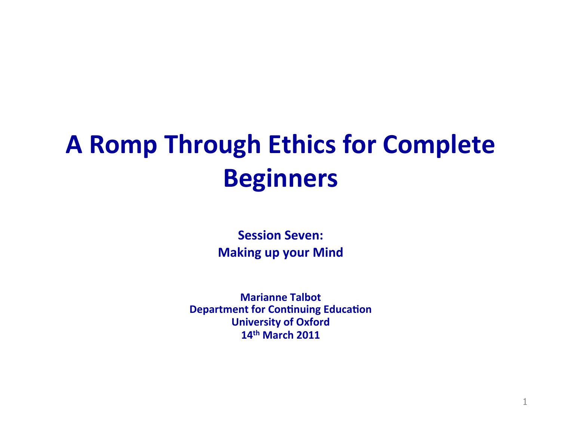# **A Romp Through Ethics for Complete Beginners!!**

**Session Seven: Making up your Mind** 

**Marianne!Talbot! Department for Continuing Education University of Oxford** 14<sup>th</sup> March 2011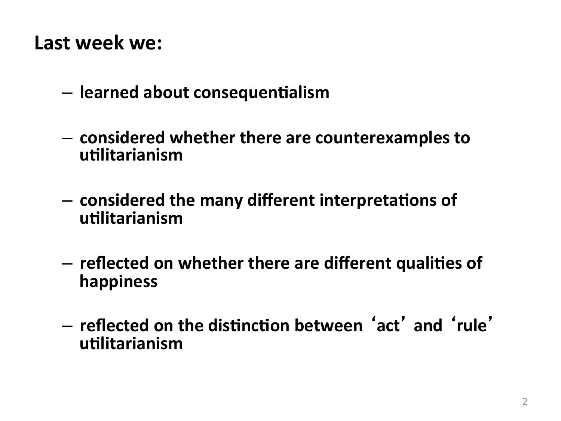#### Last week we:

- learned about consequentialism
- considered whether there are counterexamples to utilitarianism
- considered the many different interpretations of utilitarianism
- reflected on whether there are different qualities of happiness
- reflected on the distinction between 'act' and 'rule' utilitarianism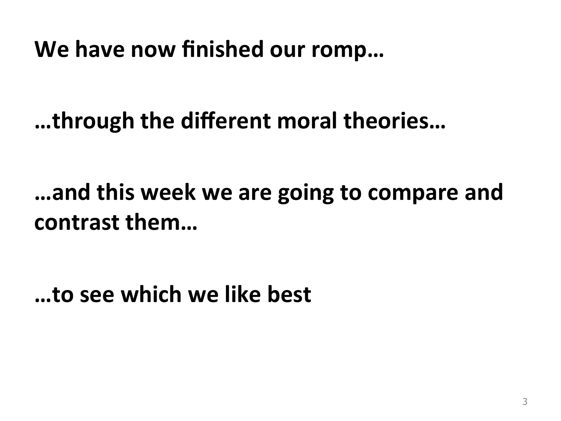We have now finished our romp...

...through the different moral theories...

...and this week we are going to compare and contrast them...

...to see which we like best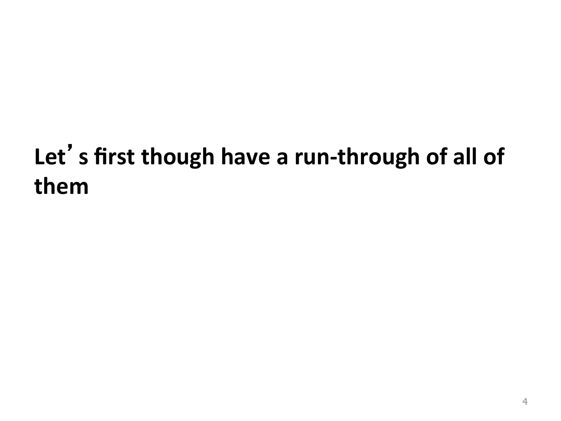## Let's first though have a run-through of all of them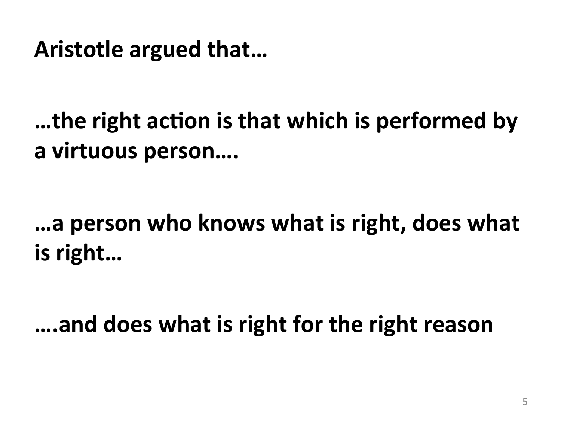Aristotle argued that...

...the right action is that which is performed by a virtuous person....

...a person who knows what is right, does what is right...

....and does what is right for the right reason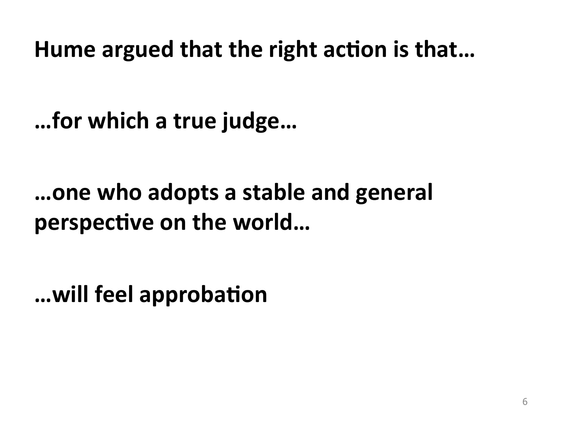Hume argued that the right action is that...

... for which a true judge...

...one who adopts a stable and general perspective on the world...

... will feel approbation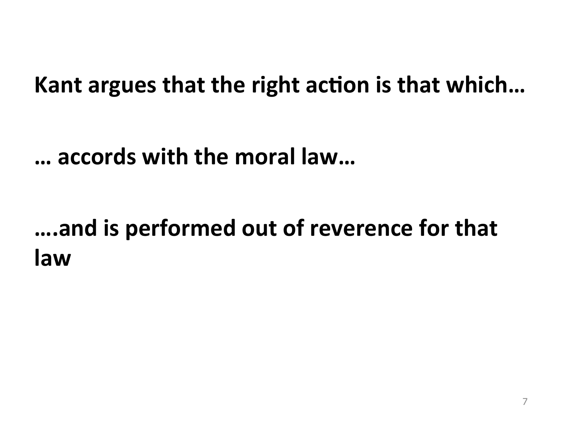#### Kant argues that the right action is that which...

#### ... accords with the moral law...

### ....and is performed out of reverence for that law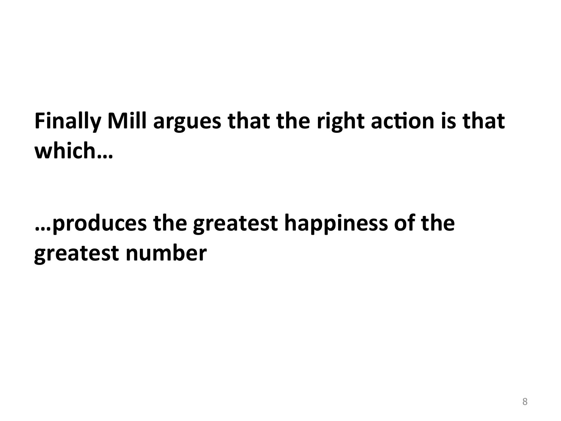## Finally Mill argues that the right action is that which...

### ...produces the greatest happiness of the greatest number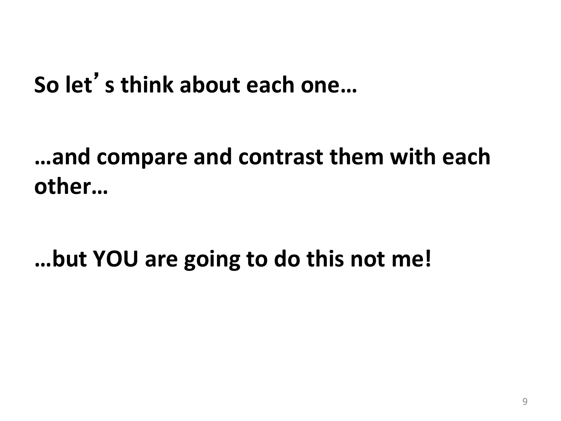### So let's think about each one...

### ...and compare and contrast them with each other...

...but YOU are going to do this not me!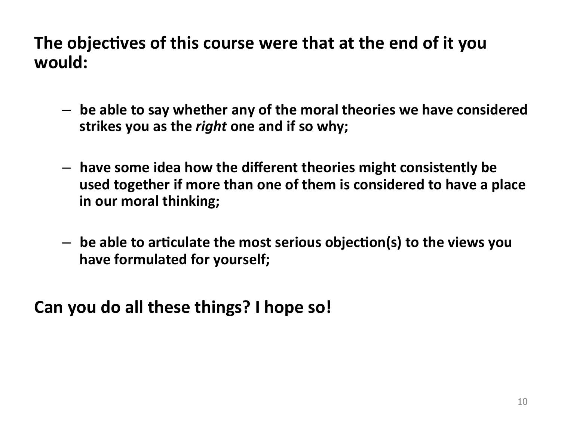#### The objectives of this course were that at the end of it you would:

- be able to say whether any of the moral theories we have considered strikes you as the *right* one and if so why;
- have some idea how the different theories might consistently be used together if more than one of them is considered to have a place in our moral thinking;
- be able to articulate the most serious objection(s) to the views you have formulated for yourself;

Can you do all these things? I hope so!